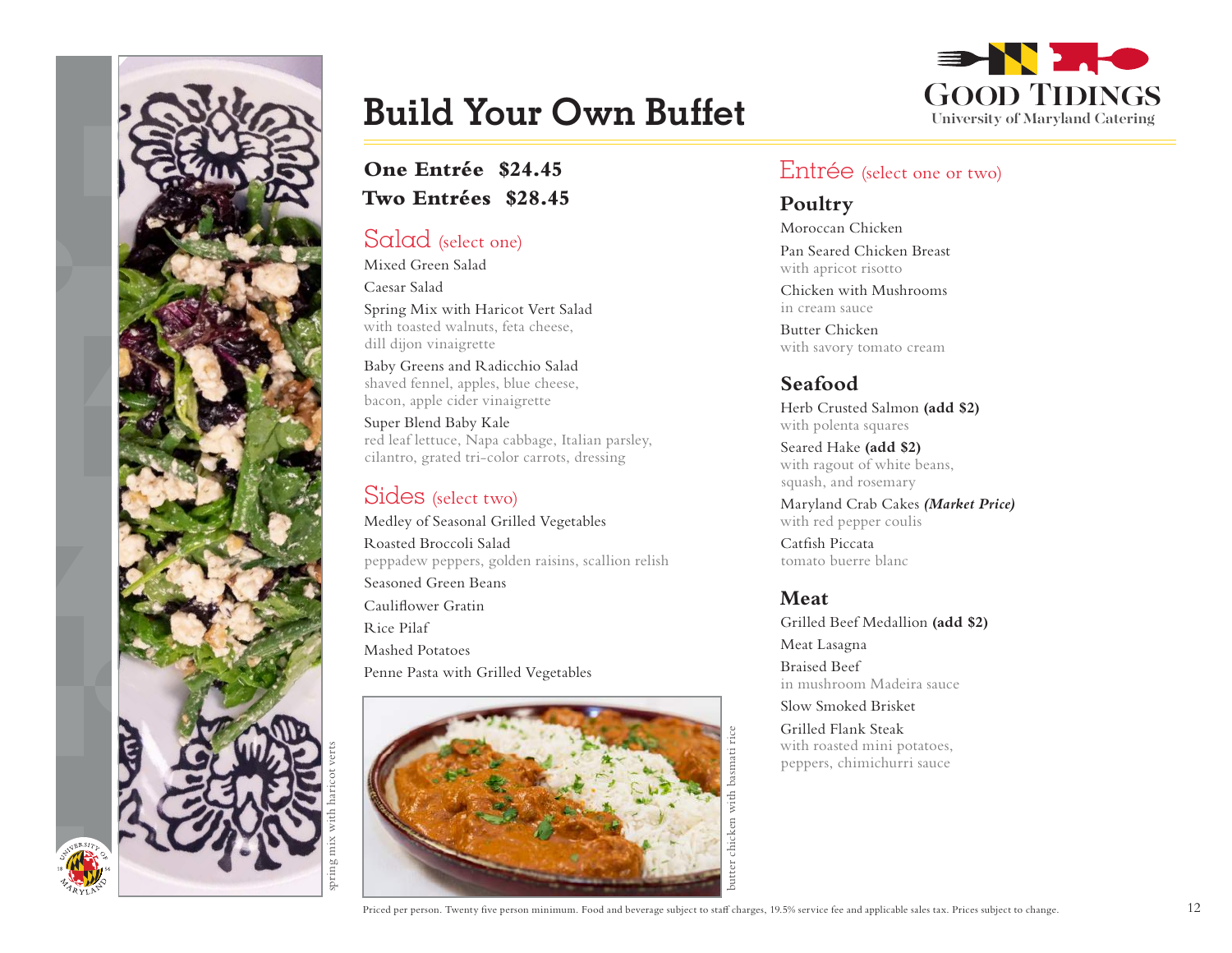

## **Build Your Own Buffet**

### **One Entrée \$24.45 Two Entrées \$28.45**

#### Salad (select one)

Mixed Green Salad Caesar Salad

Spring Mix with Haricot Vert Salad with toasted walnuts, feta cheese, dill dijon vinaigrette

Baby Greens and Radicchio Salad shaved fennel, apples, blue cheese, bacon, apple cider vinaigrette

Super Blend Baby Kale red leaf lettuce, Napa cabbage, Italian parsley, cilantro, grated tri-color carrots, dressing

## Sides (select two)

Medley of Seasonal Grilled Vegetables Roasted Broccoli Salad peppadew peppers, golden raisins, scallion relish Seasoned Green Beans Cauliflower Gratin Rice Pilaf Mashed Potatoes Penne Pasta with Grilled Vegetables





#### Entrée (select one or two)

#### **Poultry**

Moroccan Chicken Pan Seared Chicken Breast

with apricot risotto

Chicken with Mushrooms in cream sauce

Butter Chicken with savory tomato cream

### **Seafood**

Herb Crusted Salmon **(add \$2)** with polenta squares

Seared Hake **(add \$2)** with ragout of white beans, squash, and rosemary

Maryland Crab Cakes *(Market Price)* with red pepper coulis

Catfish Piccata tomato buerre blanc

#### **Meat**

Grilled Beef Medallion **(add \$2)** Meat Lasagna

Braised Beef in mushroom Madeira sauce

Slow Smoked Brisket

Grilled Flank Steak with roasted mini potatoes, peppers, chimichurri sauce